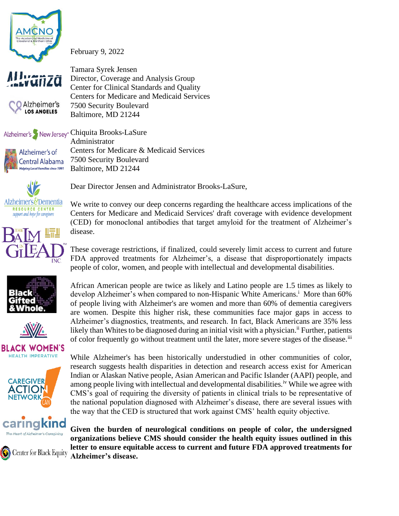

February 9, 2022



Alzheimer's **LOS ANGELES** 

Tamara Syrek Jensen Director, Coverage and Analysis Group Center for Clinical Standards and Quality Centers for Medicare and Medicaid Services 7500 Security Boulevard Baltimore, MD 21244

Alzheimer's New Jersey<sup>®</sup> Chiquita Brooks-LaSure Administrator Centers for Medicare & Medicaid Services Alzheimer's of 7500 Security Boulevard Central Alabama **Helping Local Families since 1991** Baltimore, MD 21244



Dear Director Jensen and Administrator Brooks-LaSure,

We write to convey our deep concerns regarding the healthcare access implications of the Centers for Medicare and Medicaid Services' draft coverage with evidence development (CED) for monoclonal antibodies that target amyloid for the treatment of Alzheimer's disease.

These coverage restrictions, if finalized, could severely limit access to current and future FDA approved treatments for Alzheimer's, a disease that disproportionately impacts people of color, women, and people with intellectual and developmental disabilities.





**BLACK WOMEN'S HEALTH IMPERATIVE** 



**ingkind** 

**Center for Black Equity** 

African American people are twice as likely and Latino people are 1.5 times as likely to develop Alzheimer's when compared to non-Hispanic White Americans.<sup>i</sup> More than 60% of people living with Alzheimer's are women and more than 60% of dementia caregivers are women. Despite this higher risk, these communities face major gaps in access to Alzheimer's diagnostics, treatments, and research. In fact, Black Americans are 35% less likely than Whites to be diagnosed during an initial visit with a physician.<sup>ii</sup> Further, patients of color frequently go without treatment until the later, more severe stages of the disease.<sup>iii</sup>

While Alzheimer's has been historically understudied in other communities of color, research suggests health disparities in detection and research access exist for American Indian or Alaskan Native people, Asian American and Pacific Islander (AAPI) people, and among people living with intellectual and developmental disabilities.<sup>iv</sup> While we agree with CMS's goal of requiring the diversity of patients in clinical trials to be representative of the national population diagnosed with Alzheimer's disease, there are several issues with the way that the CED is structured that work against CMS' health equity objective.

**Given the burden of neurological conditions on people of color, the undersigned organizations believe CMS should consider the health equity issues outlined in this letter to ensure equitable access to current and future FDA approved treatments for Alzheimer's disease.**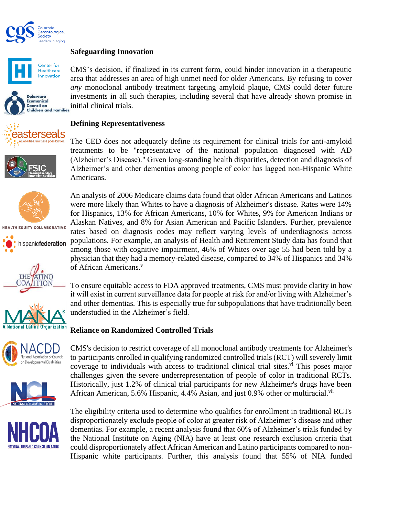

## **Safeguarding Innovation**











**HEALTH EQUITY COLLABORATIVE** 













CMS's decision, if finalized in its current form, could hinder innovation in a therapeutic area that addresses an area of high unmet need for older Americans. By refusing to cover *any* monoclonal antibody treatment targeting amyloid plaque, CMS could deter future investments in all such therapies, including several that have already shown promise in initial clinical trials.

## **Defining Representativeness**

The CED does not adequately define its requirement for clinical trials for anti-amyloid treatments to be "representative of the national population diagnosed with AD (Alzheimer's Disease)." Given long-standing health disparities, detection and diagnosis of Alzheimer's and other dementias among people of color has lagged non-Hispanic White Americans.

An analysis of 2006 Medicare claims data found that older African Americans and Latinos were more likely than Whites to have a diagnosis of Alzheimer's disease. Rates were 14% for Hispanics, 13% for African Americans, 10% for Whites, 9% for American Indians or Alaskan Natives, and 8% for Asian American and Pacific Islanders. Further, prevalence rates based on diagnosis codes may reflect varying levels of underdiagnosis across populations. For example, an analysis of Health and Retirement Study data has found that among those with cognitive impairment, 46% of Whites over age 55 had been told by a physician that they had a memory-related disease, compared to 34% of Hispanics and 34% of African Americans.<sup>v</sup>

To ensure equitable access to FDA approved treatments, CMS must provide clarity in how it will exist in current surveillance data for people at risk for and/or living with Alzheimer's and other dementias. This is especially true for subpopulations that have traditionally been understudied in the Alzheimer's field.

#### **Reliance on Randomized Controlled Trials**

CMS's decision to restrict coverage of all monoclonal antibody treatments for Alzheimer's to participants enrolled in qualifying randomized controlled trials (RCT) will severely limit coverage to individuals with access to traditional clinical trial sites.<sup>vi</sup> This poses major challenges given the severe underrepresentation of people of color in traditional RCTs. Historically, just 1.2% of clinical trial participants for new Alzheimer's drugs have been African American, 5.6% Hispanic, 4.4% Asian, and just 0.9% other or multiracial. $v<sup>u</sup>$ 

The eligibility criteria used to determine who qualifies for enrollment in traditional RCTs disproportionately exclude people of color at greater risk of Alzheimer's disease and other dementias. For example, a recent analysis found that 60% of Alzheimer's trials funded by the National Institute on Aging (NIA) have at least one research exclusion criteria that could disproportionately affect African American and Latino participants compared to non-Hispanic white participants. Further, this analysis found that 55% of NIA funded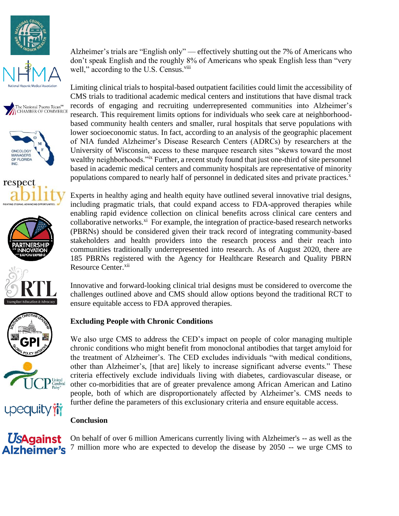



















**UsAgainst** Alzheimer's

Alzheimer's trials are "English only" — effectively shutting out the 7% of Americans who don't speak English and the roughly 8% of Americans who speak English less than "very well," according to the U.S. Census.<sup>viii</sup>

Limiting clinical trials to hospital-based outpatient facilities could limit the accessibility of CMS trials to traditional academic medical centers and institutions that have dismal track records of engaging and recruiting underrepresented communities into Alzheimer's research. This requirement limits options for individuals who seek care at neighborhoodbased community health centers and smaller, rural hospitals that serve populations with lower socioeconomic status. In fact, according to an analysis of the geographic placement of NIA funded Alzheimer's Disease Research Centers (ADRCs) by researchers at the University of Wisconsin, access to these marquee research sites "skews toward the most wealthy neighborhoods."<sup>ix</sup> Further, a recent study found that just one-third of site personnel based in academic medical centers and community hospitals are representative of minority populations compared to nearly half of personnel in dedicated sites and private practices.<sup>x</sup>

Experts in healthy aging and health equity have outlined several innovative trial designs, including pragmatic trials, that could expand access to FDA-approved therapies while enabling rapid evidence collection on clinical benefits across clinical care centers and collaborative networks.<sup>xi</sup> For example, the integration of practice-based research networks (PBRNs) should be considered given their track record of integrating community-based stakeholders and health providers into the research process and their reach into communities traditionally underrepresented into research. As of August 2020, there are 185 PBRNs registered with the Agency for Healthcare Research and Quality PBRN Resource Center.<sup>xii</sup>

Innovative and forward-looking clinical trial designs must be considered to overcome the challenges outlined above and CMS should allow options beyond the traditional RCT to ensure equitable access to FDA approved therapies.

# **Excluding People with Chronic Conditions**

We also urge CMS to address the CED's impact on people of color managing multiple chronic conditions who might benefit from monoclonal antibodies that target amyloid for the treatment of Alzheimer's. The CED excludes individuals "with medical conditions, other than Alzheimer's, [that are] likely to increase significant adverse events." These criteria effectively exclude individuals living with diabetes, cardiovascular disease, or other co-morbidities that are of greater prevalence among African American and Latino people, both of which are disproportionately affected by Alzheimer's. CMS needs to further define the parameters of this exclusionary criteria and ensure equitable access.

# **Conclusion**

On behalf of over 6 million Americans currently living with Alzheimer's -- as well as the 7 million more who are expected to develop the disease by 2050 -- we urge CMS to